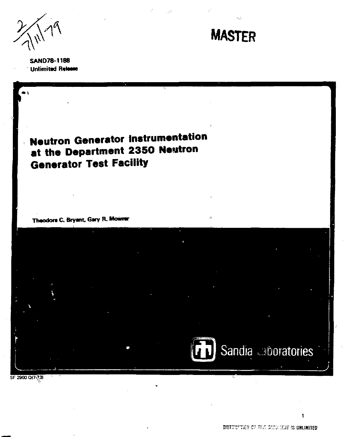$\frac{1}{2}$  **MASTER** 



**SAND78-1188 Unlimitad Ralaaw** 

## **Neutron Generator Instrumentation at the Department 2350 Neutron Generator Test Facility**

**Theodora C. Bryant, Gary R. Mowiar** 

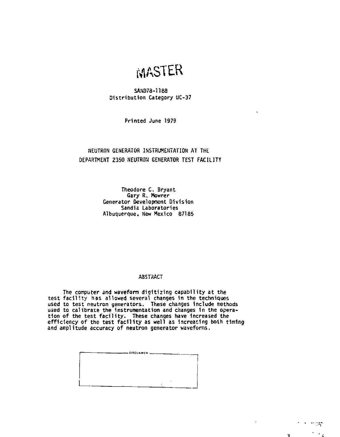# WASTER

#### **SAND78-1188 Distribution Category UC-37**

**Printed June 1979** 

### **NEUTRON GENERATOR INSTRUMENTATION AT THE DEPARTMENT 2350 NEUTRON GENERATOR TEST FACILITY**

**Theodore C. Bryant Gary R. Mowrer Generator Development Division Sandia Laboratories Albuquerque, New Mexico 87185** 

#### **ABSTRACT**

**The computer and waveform digitizing capability at the test facility has allowed several changes 1n the techniques used to test neutron generators. These changes Include methods used to calibrate the Instrumentation and changes 1n the operation of the test facility. These changes have Increased the efficiency of the test facility as well as Increasing both timing and amplitude accuracy of neutron generator waveforms.** 



state of the  $\sim$ 

 $\sim$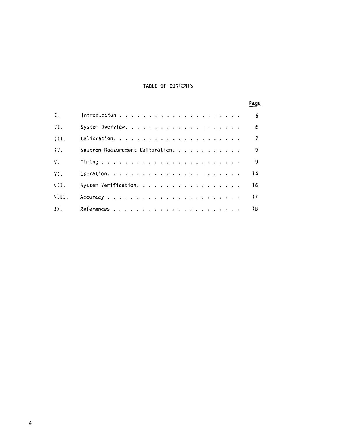## TABLE OF CONTENTS

|                |                                  | Page                     |
|----------------|----------------------------------|--------------------------|
| $\mathbb{Z}$ . |                                  | - 6                      |
| H.             |                                  | 6                        |
| III.           |                                  | $\overline{\phantom{a}}$ |
| IY.            | Neutron Measurement Calibration. | 9                        |
| V.             |                                  | ٩                        |
| YI.            |                                  | 14                       |
| VII.           | System Verification.             | 16                       |
| VIII.          |                                  | 17                       |
| IX.            |                                  | 1B.                      |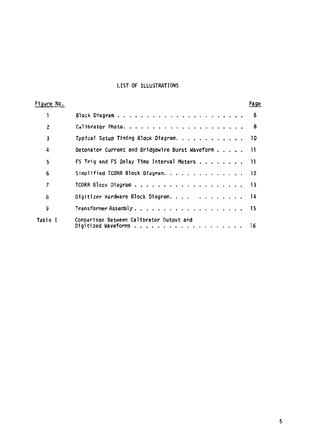## **LIST OF ILLUSTRATIONS**

| Figure No. |                                                                                           | Page |
|------------|-------------------------------------------------------------------------------------------|------|
| 1          |                                                                                           | - 6  |
| 2          |                                                                                           | - 8  |
| 3          | Typical Setup Timing Block Diagram. 10                                                    |      |
| 4          | Detonator Current and Bridgewire Burst Waveform 11                                        |      |
| 5          | FS Trig and FS Delay Time Interval Meters 11                                              |      |
| 6          | Simplified TCORR Block Diagram. 12                                                        |      |
| 7          |                                                                                           |      |
| 8          | Digitizer Hardware Block Diagram. 14                                                      |      |
| 9          | Transformer Assembly $\cdots$ , $\cdots$ , $\cdots$ , $\cdots$ , $\cdots$ , $\cdots$ , 15 |      |
| Table I    | Comparison Between Calibrator Output and<br>Digitized Waveforms 16                        |      |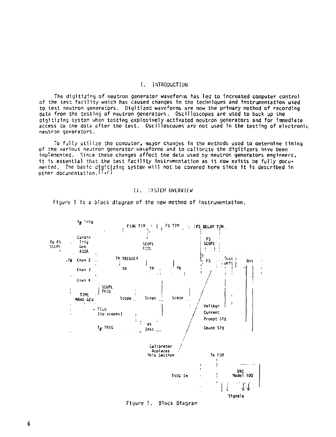#### I. INTRODUCTION

The digitizing of neutron generator waveforms has led to Increased computer control of the test facility wnich has caused changes in the techniques and Instrumentation used to test neutron generators. Digitized waveforms are now the primary method of recording data from the testing of neutron generators. Oscilloscopes are used to back up the digitizing system when testing explosively activated neutron generators and for Immediate access to tne data after the test. Oscilloscopes are not used In the testing of electronic neutron generators.

To fjlly utilize the computer, *major* changes 1n the methods used to determine timing of the various neutron generator waveforms and to calibrate the digitizers have been Implemented. Since these changes affect tne data used by neutron generators engineers, it is essential that the test facility instrumentation as it now exists be fully documented. The basic digitizing system will not be covered here since it is described in .<br>other documentation.<sup>{1,2}</sup>

#### II. I.YSTEH OVERVIEW



Figure 1 is a block diagram of the new method of instrumentation.

Figure *\.* Block Diagram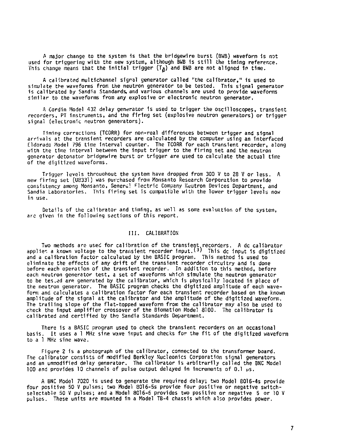**A major change to the system 1s that the brldgewlre burst (BWB) waveform 1s not used for triggering with the new system, although BWB 1s still the timing reference.**  This change means that the initial trigger  $(T_A)$  and BWB are not aligned in time.

**A calibrated multichannel signal generator called "the calibrator," 1s used to simulate the waveforms from the neutron generator to be tested. This signal generator is calibrated by Sandia Standards, and various channels are used to provide waveforms similar to the waveforms from any explosive or electronic neutron generator.** 

**A Cordin Model 432 delay generator is used to trigger the oscilloscopes, transient recorders, PT Instruments, and the firing set (explosive neutron generators) or trigger signal (electronic neutron generators).** 

**Timing corrections (TCORR) for non-real differences between trigger and signal arrivals at the transient recorders are calculated by the computer using an Interfaced Eldorado Model 796 time Interval counter. The TCORR for each transient recorder, along with the time interval between the Input trigger to the firing set and the neutron generator detonator bridgewlre burst or trigger are used to calculate the actual time of the digitized waveforms.** 

**Trigger levels throuahout the system have dropped from 300 V to 28 V or less. A new firing set (U8331) was purchased from Monsanto Research Corporation to provide consistency among Monsanto, General Hectric Company Neutron Devices Department, and Sandia Laboratories. This firing set is compatible with the lower trigger levels now in use.** 

**Details of the calibrator and timing, as well as some evaluation of the system, are given in the following sections of this report.** 

#### **III. CALIBRATION**

Two methods are used for calibration of the transient recorders. A dc calibrator<br>applies a known voltage to the transient recorder input.<sup>(3)</sup> This dc input is digitized and a calibration factor calculated by the BASIC program. This method 1s used to eliminate the effects of any drift of the transient recorder circuitry and is done before each operation of the transient recorder. In addition to this method, before each neutron generator test, a set of waveforms which simulate the neutron generator to be tes-ed are generated by the calibrator, which is physically located in place of the neutron generator. The BASIC program checks the digitized amplitude of each waveform and calculates a calibration factor for each transient recorder based on the known amplitude of the signal at the calibrator and the amplitude of the digitized waveform. The trailing slope of the flat-topped waveform from the calibrator may also be used to check the Input amplifier crossover of the Blomatlon Model 8100. The calibrator 1s calibrated and certified by the Sandia Standards Department.

There 1s a BASIC program used to check the transient recorders on an occasional basis. It uses a 1 MHz sine wave input and checks for the fit of the digitized waveform to a 1 MHz sine wave.

Figure 2 is a photograph of the calibrator, connected to the transformer board. The calibrator consists of modified Berkley Nucleonics Corporation signal generators and an unmodified delay generator. The calibrator is arbitrarily called the BNC Model 100 and provides 10 channels of pulse output delayed in increments of 0.1  $\mu$ s.

A BNC Model 7020 1s used to generate the required delay; two Model 8016-4s provide four positive 50 V pulses; two Model 8016-5s provide four positive or negative switchselectable 50 V pulses; and a Model 8016-6 provides two positive or negative 5 or 10 V pulses. These units are mounted in a Model TB-4 chassis which also provides power.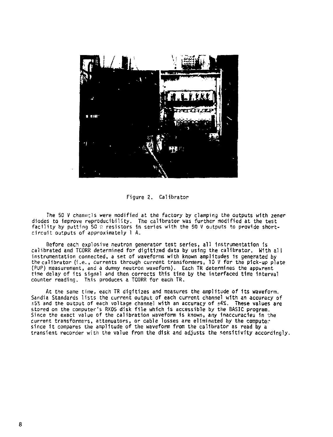

Figure 2. Calibrator

The 50 V channels were modified at the factory by clamping the outputs with zener diodes to improve reproducibility. The calibrator was further modified at the test facility by putting 50 a resistors in series with the 50 V outputs to provide shortcircuit outputs of approximately 1 A.

Before each explosive neutron generator test series, all instrumentation is calibrated and TCORR determined for digitized data by using the calibrator. With al l instrumentation connected, a set of waveforms with known amplitudes 1s generated by the calibrator (i.e. , currents through current transformers, 10 V for the p1ck-up plate (PUP) measurement, and a durmny neutron waveform). Each TR determines the apparent time delay of its signal and then corrects this time by the interfaced time Interval counter reading. This produces a TCORR for each TR.

At the same time, each TR digitizes and measures the amplitude of its waveform. Sandia Standards lists the current output of each current channel with an accuracy of i5S and the output of each voltage channel with an accuracy of ±4%. These values are stored on the computer's RK05 disk file which is accessible by the BASIC program. Since the exact value of the calibration waveform is known, any inaccuracies in the current transformers, attenuators, or cable losses are eliminated by the computer<br>since it compares the amplitude of the waveform from the calibrator as read by a transient recorder with the value from the disk and adjusts the sensitivity accordingly.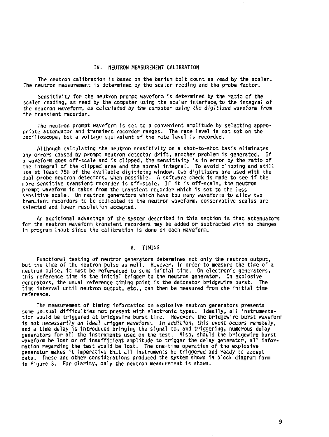#### IV. NEUTRON MEASUREMENT CALIBRATION

The neutron calibration is based on the barium bolt count as read by the scaler. The neutron measurement 1s determined by the scaler reading and the probe factor.

Sensitivity for the neutron prompt waveform is determined by the ratio of the scaler reading, as read by the computer using the scaler Interface, to the integral of the neutron waveform, as calculated by the computer using the digitized waveform from the transient recorder.

The neutron prompt waveform is set to a convenient amplitude by selecting appropriate attenuator and transient recorder ranges. The rate level 1s not set on the oscilloscope, but a voltage equivalent of the rate level 1s recorded.

Although calculating the neutron sensitivity on a shot-to-shot basis eliminates any errors caused by prompt neutron detector drift, another problem is generated. If<br>a waveform goes off-scale and is clipped, the sensitivity is in error by the ratio of the integral of the clipped area and the normal integral. To avoid clipping and still<br>use at least 75% of the available digitizing window, two digitizers are used with the dual-probe neutron detectors, when possible. A software check 1s made to see 1f the more sensitive transient recorder is off-scale. If it is off-scale, the neutron prompt waveform is taken from the transient recorder which 1s set to the less sensitive scale. On neutron generators which have too many waveforms to allow two tran-ient recorders to be dedicated to the neutron waveform, conservative scales are selected and lower resolution accepted.

An additional advantage of the system described 1n this section is that attenuators for the neutron waveform transient recorders may be added or subtracted with no changes 1n program input since the calibration is done on each waveform.

#### V. TIMING

**Functional testing of neutron generators determines not only the neutron output, but the time of the neutron pulse as well. However, 1n order to measure the time of a neutron pulse, it must be referenced to some Initial time. On electronic generators, this reference time 1s the initial trigger to the neutron generator. On explosive generators, the usual reference timing point 1s the detonator brldgewlre burst. The time Interval until neutron output, etc., can then be measured from the initial time reference.** 

**The measurement of timing information on explosive neutron generators presents some unusual difficulties not present with electronic types. Ideally, all Instrumenta**tion would be triggered at bridgewire burst time. However, the bridgewire burst waveform **is not necessarily an ideal trigger waveform. In addition, this event occurs remotely, and a time delay is Introduced bringing the signal to, and triggering, numerous delay generators for all the Instruments used on the test. Also, should the brldgewlre burst waveform be lost or of insufficient amplitude to trigger the delay generator, all information regarding the test would be lost. The one-time operation of the explosive generator makes it Imperative th-t all Instruments be triggered and ready to accept data. These and other considerations produced the system shown 1n block diagram form 1n Figare 3. For clarity, only the neutron measurement is shown.**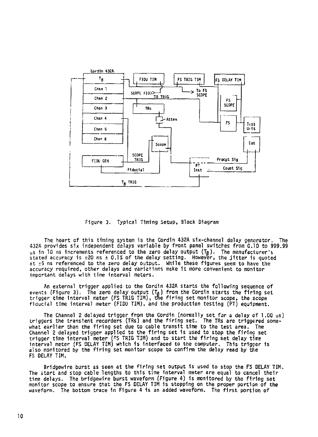

Figure 3. Typical Timing Setup, Block Diagram

The heart of this timing system is the Cordin 432A six-channel delay generator. The 432A provides six independent delays variable by front panel switches from 0.10 to 999.99 us in 10 ns increments referenced to the zero delay output (Toj). The manufacturer's stated accuracy is  $\pm 20$  ns  $\pm 0.1\%$  of the delay setting. However, the jitter is quoted at  $\pm 5$  ns referenced to the zero delay output. While these figures seem to have the accuracy required, other delays and variations make 1t more convenient to monitor important delays with time Interval meters.

An external trigger applied to the Cordin 432A starts the following sequence of events (Figure 3). The zero delay output  $(T_{\alpha})$  from the Cordin starts the firing set trigger time interval meter (FS TRIG TIM), the firing set monitor scope, the scope fiducial time interval meter (FIOU TIM), and the production testing (PT) equipment.

The Channel 2 delayed trigger from the Cordin (normally set for a delay of 1.00 ps) triggers the transient recorders (TRs) and the firin g set. The TRs are triggered somewhat earlier than the firing set due to cable transit time to the test area. The Channel 2 delayed trigger applied to the firing set is used to stop the firing set<br>trigger time interval meter (FS TRIG TIM) and to start the firing set delay time<br>interval meter (FS DELAY TIM) which is interfaced to the c also monitored by the firing set monitor scope to confirm the delay read by the FS DELAY TIM.

Bridgewire burst as seen at the firing set output is used to stop the FS DELAY TIM. The start and stop cable lengths to this time interval meter are equal to cancel their time delays. The bridgewire burst waveform (Figure 4) is monitored by the firing set monitor scope to ensure that the FS DELAY TIH 1s stopping on the proper portion of the waveform. The bottom trace in Figure 4 is an added waveform. The first portion of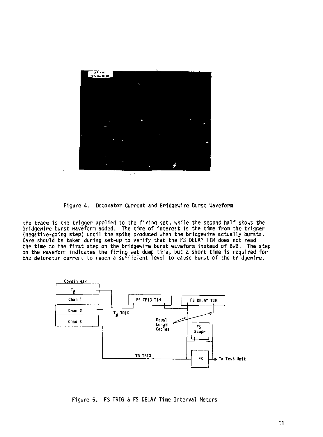

Figure 4. Detonator Current and Brldgewire Burst Waveform

the trace is the trigger applied to the firing set, while the second half shows the brldgewlre burst waveform added. The time of Interest 1s the time from the trigger (negative-going step) until the spike produced when the bridgewire actually bursts. Care should be taken during set-up to verify that the FS DELAY TIM does not read the time to the firs t step on the brldgewlre burst waveform instead of BwB. The step on the waveform indicates the firing set dump time, but a short time is required for the detonator current to reach a sufficient level to cause burst of the brldgewlre.



Figure 5. FS TRIG S FS DELAY Time Interval Meters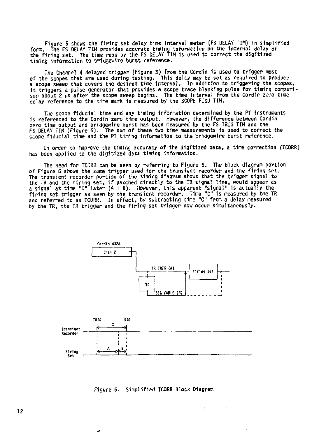**Figure 5 shows the firing set delay tine Interval meter (FS DELAY TIM) 1n simplified form. The FS DELAY TIM provides accurate timing information on the Internal delay of the firing set. The time read by the FS DELAY TIM 1s used to correct the digitized timing Information to bridgewire burst reference.** 

The Channel 4 delayed trigger (Figure 3) from the Cordin is used to trigger most<br>of the scopes that are used during testing, This delay may be set as required to produce<br>a scope sweep that covers the desired time interval. **1t triggers a pulse generator that provides a scope trace blanking pulse for timlnq compari**son about 2 us after the scope sweep begins. The time interval from the Cordin ze:o time **delay reference to the time mark 1s measured by the SCOPE FIDU TIM.** 

**The scope fiducial time and any timing Information determined by the PT Instruments is referenced to the Cordin zero time output. However, the difference between Cordiii zero time output and brldgewlre burst has been measured by the FS TRIG TIM and the FS DELAY TIM (Figure 5). The sum of these two time measurements Is used to correct the scope fiducial time and the PT timing information to the bridgewlre burst reference.** 

**In order to Improve the timing accuracy of the digitized data, a time correction (TC0RR) has been applied to the digitized data timing Information,** 

**The need for TCDRR can be seen by referring to Figure 6. The block diagram portion of Figure 6 shows the same trigger used for the transient recorder and the firing set. The transient recorder portion of the timing diagram shows that the trigger signal to**  the TR and the firing set, if patched directly to the IR signal line, would appear as<br>a signal at time "C" later (A + B). However, this apparent "signal" is actually the firing set trigger as seen by the transient recorder. Time "C" is measured by the TR **and referred to as TCORR. In effect, by subtracting time "C" from a delay measured by the TR, the TR trigger and the firing set trigger now occur simultaneously.** 



**Figure 6, Simplified TCORR Block Diagram** 

٠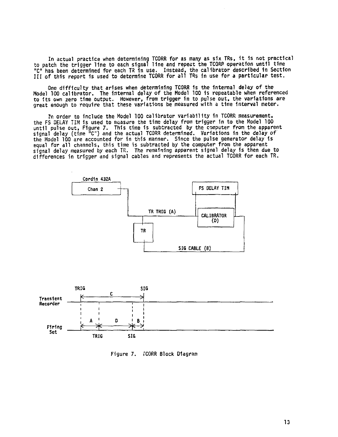**In actual practice when determining TCORR for as many as six TRs, 1t 1s not practical to patch the trlgaer line to each signal Hn e and repeat the TCORR operation until time "C" has been determined for each TR 1n use. Instead, the calibrator described 1n Section III of this report Is used to determine TCORR for all TRs 1n use for a particular test.** 

**One difficulty that arises when determining TCORR 1s the Internal delay of the Model 100 calibrator. The Internal delay of the Model 100 1s repeatable when referenced to Its own zero time output. However, from trigger in to pulse out, the variations are great enough to require that these variations be measured with a time interval meter.** 

**!n order to Include the Model 100 calibrator variability 1n TCORR measurement, the FS DELAY TIM is used to measure the time delay from trigger 1n to the Model 100 until pulse out. Figure 7. This time 1s subtracted by the computer from the apparent**  signal delay (time <sup>n</sup>C") and the actual TCORR determined. Variations in the delay of<br>the Model 100 are accounted for in this manner. Since the pulse generator delay is<br>equal for all channels, this time is subtracted by **signal delay measured by each TR. The remaining apparent signal delay is then due to differences in trigger and signal cables and represents the actual TCORR for each TR.** 





Figure 7. fCORR Block Diagram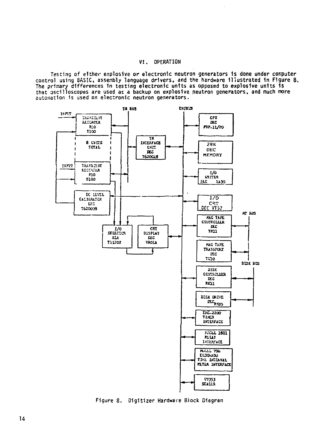#### **VI. OPERATION**

**Testing of either explosive or electronic neutron generators 1s done under computer control using BASIC, assembly language drivers, and the hardware Illustrated 1n Figure 8. The primary differences 1n testing electronic units as opposed to explosive units 1s that oscilloscopes are used as a backup on explosive neutron generators, and much more automation Is used on electronic neutron generators.** 



Figure 8. Digitizer Hardware Biock Diagram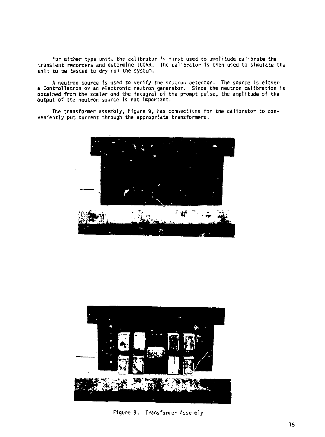**For either type unit, the calibrator is first used to amplitude calibrate the transient recorders and determine TCORR. The calibrator 1s then used to simulate the unit to be tested to dry run the system,** 

**A neutron source 1s used to verify the neucrui. aetector. The source is either » Controllatron or an electronic neutron generator. Since the neutron calibration 1s obtained from the scaler and the integral of the prompt pulse, the amplitude of the output of the neutron source is not important.** 

**The transformer assembly, Figure 9, has connections for the calibrator to con-veniently put current through the appropriate transformers.** 





**Figure 9. Transformer Assembly**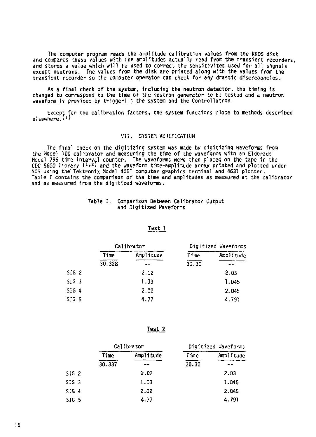The computer program reads the amplitude calibration values from the RK05 disk and compares these values with the amplitudes actually read from the transient recorders, and stores a value which will be used to correct the sensitivites used for all signals except neutrons. The values from the disk are printed along with the values from the transient recorder so the computer operator can check for any drastic discrepancies.

As a final check of the system, including the neutron detector, the timing 1s changed to correspond to the time of the neutron generator to be tested and a neutron waveform is provided by triggeries the system and the Controllatron.

Except for the calibration factors, the system functions close to methods described<br>:sewhere.<sup>{1}</sup>

#### VII. SYSTEM VERIFICATION

The final check on the digitizing system was made by digitizing waveforms from the Model 100 calibrator and measuring the time of the waveforms with an Eldorado Model 796 time interval counter. The waveforms were then placed on the tape in the<br>CDC 6600 library (½) and the waveform time-amplitude array printed and plotted under NOS using the Tektronix Model 4051 computer graphics terminal and 4631 plotter.<br>Table I contains the comparison of the time and amplitudes as measured at the calibrator and as measured from the digitized waveforms.

#### **Table I. Comparison Between Calibrator Output and Digitized Waveforms**

|         | Calibrator |           |       | Digitized Waveforms |
|---------|------------|-----------|-------|---------------------|
|         | Time       | Amplitude | lime  | Amplitude           |
|         | 30.328     |           | 30.30 |                     |
| SIG 2   |            | 2.02      |       | 2.03                |
| $SIG$ 3 |            | 1.03      |       | 1.045               |
| SIG 4   |            | 2.02      |       | 2.045               |
| SIGS    |            | 4.77      |       | 4.791               |

#### **Test 1**

**Test 2** 

|                  | Calibrator |           |       | Digitized Waveforms |
|------------------|------------|-----------|-------|---------------------|
|                  | Time       | Amplitude | Time  | Amplitude           |
|                  | 30.337     |           | 30.30 |                     |
| SIG2             |            | 2.02      |       | 2.03                |
| SIG <sub>3</sub> |            | 1.03      |       | 1.045               |
| SIG 4            |            | 2.02      |       | 2.045               |
| <b>SIG 5</b>     |            | 4.77      |       | 4.791               |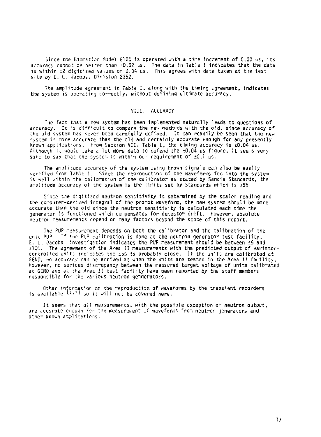Since the Biomation Model 8100 is operated with a time increment of 0.02 us, its accuracy came: *oe* setter than -0.02 us. The data 1n Table I indicates that the data is within  $\pm 2$  digitized values or 0.04 us. This agrees with data taken at the test site by E. L. Jacobs, Division 2352.

The amplitude agreement in Table I, along with the timing agreement, indicates the systen is operating correctly, without defining ultimate accuracy.

#### VIII . ACCURACY

The fact that a new system has been implemented naturally leads to questions of accuracy. It is difficult to compare the new methods with the old, since accuracy of the old system has never been carefully defined. It can readily bo seen that the new system is more accurate than the old and certainly accurate enough for any presently known applications. From Section VII , Table I , the timing accuracy 1s ±0.04 us. Although it would take a lot more data to defend the  $\pm 0.04$  us figure, it seems very safe to say that the system is within our requirement of  $\pm 0.1$   $\mu$ s.

The amplitude accuracy of the system using known signals can also be easily verified from Table 1. Since the reproduction of the waveforms fed into the system is well within the calibration of the calibrator as stated by Sandia Standards, the amplitude accuracy of the system is the limits set by Standards which is  $\pm 5\%$ 

Since the digitized neutron sensitivity is determined by the scaler reading and the computer-derived integral of the prompt waveform, the new system should be more accurate than the old since the neutron sensitivity is calculated each time the generator 1s functioned which compensates for detector drift . However, absolute neutron measurements depend on many factors beyond the scope of this report.

The PUP measurement depends on both the calibrator and the calibration of the unit PUP. If the PUP calibration is done at the neutron generator test facility, E. L. Jacobs' investigation indicates the PUP measurement should be between ±5 and ±10%. The agreement of the Area II measurements with the predicted output of varistor-<br>controlled units indicates the ±5% is probably close. If the units are calibrated at<br>GEND, no accuracy can be arrived at when the unit however, no serious discrepancy between the measured target voltage of units calibrated at GEND and at the Area II test facility have been reported by the staff members responsible for the various neutron gennerators.

Other information on the reproduction of waveforms by the transient recorders is available  $(1,3)$  so it will not be covered here.

It seems that all measurements, with the possible exception of neutron output, are accurate enough for the measurement of waveforms from neutron generators and other known applications.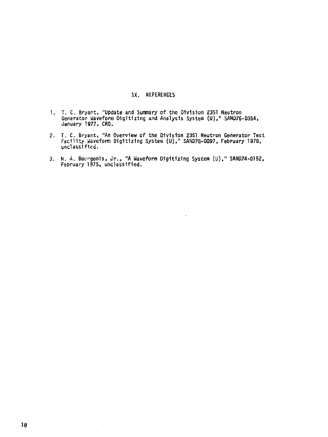#### **IX. REFERENCES**

- I. T. C. Bryant, "Update and Summary of the Division 2351 Neutron<br>Generator Waveform Digitizing and Analysis System (U)," SAND7S-0354,<br>January 1977, CRD.
- 2. T. C. Bryant, "An Overview of the Division 2351 Neutron Generator Test<br>Facility Waveform Digitizing System (U)," SAND7B-0097, February 1978,<br>unclassified.
- 3. N. A. Bourgeois, Jr. , "A Waveform Digitizing System (U)," SAND74-0152, February 1975, unclassified.

 $\ddot{\phantom{a}}$